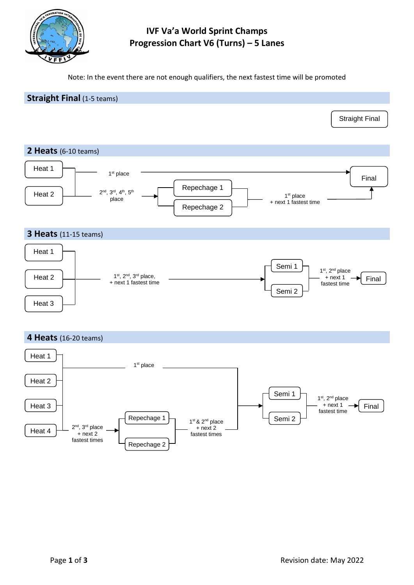

# **IVF Va'a World Sprint Champs Progression Chart V6 (Turns) – 5 Lanes**

Note: In the event there are not enough qualifiers, the next fastest time will be promoted

## **Straight Final** (1-5 teams)

#### **2 Heats** (6-10 teams)





#### **4 Heats** (16-20 teams)



Straight Final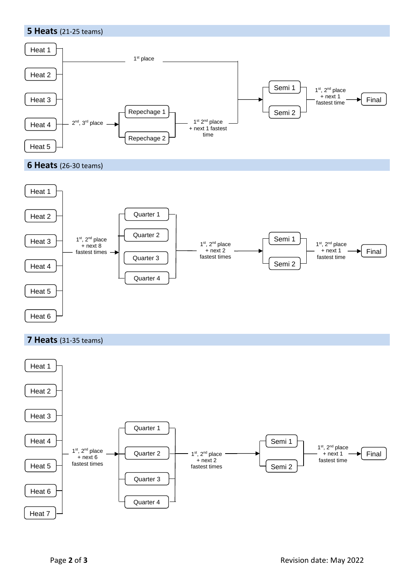



# **7 Heats** (31-35 teams)